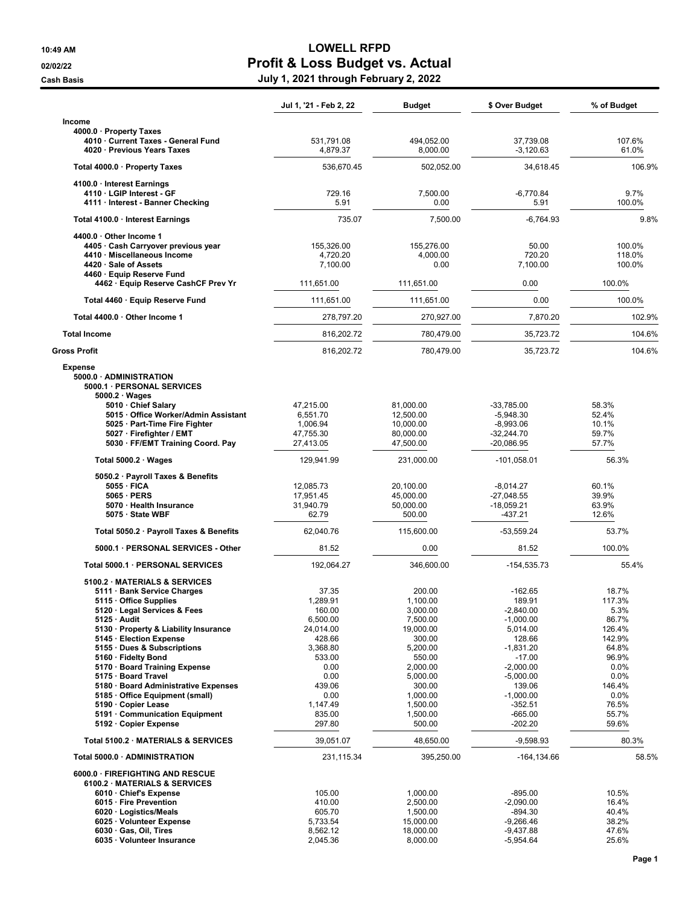## 10:49 AM LOWELL RFPD 02/02/22 **Profit & Loss Budget vs. Actual** Cash Basis July 1, 2021 through February 2, 2022

|                                                                                                                                                                                                                                                                                                 | Jul 1, '21 - Feb 2, 22                                                                       | Budget                                                                                              | \$ Over Budget                                                                                                    | % of Budget                                                                    |
|-------------------------------------------------------------------------------------------------------------------------------------------------------------------------------------------------------------------------------------------------------------------------------------------------|----------------------------------------------------------------------------------------------|-----------------------------------------------------------------------------------------------------|-------------------------------------------------------------------------------------------------------------------|--------------------------------------------------------------------------------|
| Income                                                                                                                                                                                                                                                                                          |                                                                                              |                                                                                                     |                                                                                                                   |                                                                                |
| 4000.0 · Property Taxes<br>4010 · Current Taxes - General Fund<br>4020 Previous Years Taxes                                                                                                                                                                                                     | 531,791.08<br>4,879.37                                                                       | 494,052.00<br>8,000.00                                                                              | 37,739.08<br>$-3,120.63$                                                                                          | 107.6%<br>61.0%                                                                |
| Total 4000.0 · Property Taxes                                                                                                                                                                                                                                                                   | 536,670.45                                                                                   | 502,052.00                                                                                          | 34,618.45                                                                                                         | 106.9%                                                                         |
| 4100.0 · Interest Earnings                                                                                                                                                                                                                                                                      |                                                                                              |                                                                                                     |                                                                                                                   |                                                                                |
| 4110 · LGIP Interest - GF<br>4111 · Interest - Banner Checking                                                                                                                                                                                                                                  | 729.16<br>5.91                                                                               | 7,500.00<br>0.00                                                                                    | $-6,770.84$<br>5.91                                                                                               | 9.7%<br>100.0%                                                                 |
| Total 4100.0 Interest Earnings                                                                                                                                                                                                                                                                  | 735.07                                                                                       | 7,500.00                                                                                            | $-6,764.93$                                                                                                       | 9.8%                                                                           |
| 4400.0 · Other Income 1<br>4405 · Cash Carryover previous year<br>4410 · Miscellaneous Income<br>4420 · Sale of Assets<br>4460 · Equip Reserve Fund                                                                                                                                             | 155,326.00<br>4,720.20<br>7,100.00                                                           | 155,276.00<br>4,000.00<br>0.00                                                                      | 50.00<br>720.20<br>7,100.00                                                                                       | 100.0%<br>118.0%<br>100.0%                                                     |
| 4462 · Equip Reserve CashCF Prev Yr                                                                                                                                                                                                                                                             | 111,651.00                                                                                   | 111,651.00                                                                                          | 0.00                                                                                                              | 100.0%                                                                         |
| Total 4460 · Equip Reserve Fund                                                                                                                                                                                                                                                                 | 111,651.00                                                                                   | 111,651.00                                                                                          | 0.00                                                                                                              | 100.0%                                                                         |
| Total 4400.0 · Other Income 1                                                                                                                                                                                                                                                                   | 278,797.20                                                                                   | 270,927.00                                                                                          | 7,870.20                                                                                                          | 102.9%                                                                         |
| <b>Total Income</b>                                                                                                                                                                                                                                                                             | 816,202.72                                                                                   | 780,479.00                                                                                          | 35,723.72                                                                                                         | 104.6%                                                                         |
| <b>Gross Profit</b>                                                                                                                                                                                                                                                                             | 816,202.72                                                                                   | 780,479.00                                                                                          | 35,723.72                                                                                                         | 104.6%                                                                         |
| <b>Expense</b><br>5000.0 · ADMINISTRATION<br>5000.1 · PERSONAL SERVICES<br>$5000.2 \cdot Wages$<br>5010 Chief Salary                                                                                                                                                                            | 47,215.00                                                                                    | 81,000.00                                                                                           | $-33,785.00$                                                                                                      | 58.3%                                                                          |
| 5015 Office Worker/Admin Assistant<br>5025 · Part-Time Fire Fighter<br>5027 · Firefighter / EMT<br>5030 · FF/EMT Training Coord. Pay                                                                                                                                                            | 6,551.70<br>1,006.94<br>47,755.30<br>27,413.05                                               | 12,500.00<br>10,000.00<br>80,000.00<br>47,500.00                                                    | $-5,948.30$<br>$-8,993.06$<br>$-32,244.70$<br>$-20,086.95$                                                        | 52.4%<br>10.1%<br>59.7%<br>57.7%                                               |
| Total $5000.2 \cdot Wages$                                                                                                                                                                                                                                                                      | 129,941.99                                                                                   | 231,000.00                                                                                          | -101,058.01                                                                                                       | 56.3%                                                                          |
| 5050.2 · Payroll Taxes & Benefits<br>$5055 \cdot$ FICA<br>$5065 \cdot PERS$<br>5070 · Health Insurance<br>5075 · State WBF                                                                                                                                                                      | 12,085.73<br>17,951.45<br>31,940.79<br>62.79                                                 | 20,100.00<br>45,000.00<br>50,000.00<br>500.00                                                       | $-8,014.27$<br>$-27,048.55$<br>$-18,059.21$<br>-437.21                                                            | 60.1%<br>39.9%<br>63.9%<br>12.6%                                               |
| Total 5050.2 · Payroll Taxes & Benefits                                                                                                                                                                                                                                                         | 62,040.76                                                                                    | 115,600.00                                                                                          | -53,559.24                                                                                                        | 53.7%                                                                          |
| 5000.1 · PERSONAL SERVICES - Other                                                                                                                                                                                                                                                              | 81.52                                                                                        | 0.00                                                                                                | 81.52                                                                                                             | 100.0%                                                                         |
| Total 5000.1 · PERSONAL SERVICES                                                                                                                                                                                                                                                                | 192,064.27                                                                                   | 346,600.00                                                                                          | -154,535.73                                                                                                       | 55.4%                                                                          |
| 5100.2 MATERIALS & SERVICES<br>5111 · Bank Service Charges<br>5115 · Office Supplies<br>5120 · Legal Services & Fees<br>5125 · Audit<br>5130 · Property & Liability Insurance<br>5145 · Election Expense<br>5155 · Dues & Subscriptions<br>5160 · Fidelty Bond<br>5170 · Board Training Expense | 37.35<br>1,289.91<br>160.00<br>6,500.00<br>24,014.00<br>428.66<br>3,368.80<br>533.00<br>0.00 | 200.00<br>1,100.00<br>3,000.00<br>7,500.00<br>19,000.00<br>300.00<br>5,200.00<br>550.00<br>2,000.00 | $-162.65$<br>189.91<br>$-2,840.00$<br>$-1,000.00$<br>5,014.00<br>128.66<br>$-1,831.20$<br>$-17.00$<br>$-2,000.00$ | 18.7%<br>117.3%<br>5.3%<br>86.7%<br>126.4%<br>142.9%<br>64.8%<br>96.9%<br>0.0% |
| 5175 · Board Travel<br>5180 · Board Administrative Expenses<br>5185 · Office Equipment (small)<br>5190 · Copier Lease<br>5191 Communication Equipment<br>5192 · Copier Expense                                                                                                                  | 0.00<br>439.06<br>0.00<br>1,147.49<br>835.00<br>297.80                                       | 5,000.00<br>300.00<br>1,000.00<br>1,500.00<br>1,500.00<br>500.00                                    | $-5,000.00$<br>139.06<br>$-1,000.00$<br>$-352.51$<br>$-665.00$<br>$-202.20$                                       | 0.0%<br>146.4%<br>0.0%<br>76.5%<br>55.7%<br>59.6%                              |
| Total 5100.2 · MATERIALS & SERVICES                                                                                                                                                                                                                                                             | 39,051.07                                                                                    | 48,650.00                                                                                           | $-9,598.93$                                                                                                       | 80.3%                                                                          |
| Total 5000.0 · ADMINISTRATION                                                                                                                                                                                                                                                                   | 231,115.34                                                                                   | 395,250.00                                                                                          | $-164, 134.66$                                                                                                    | 58.5%                                                                          |
| 6000.0 · FIREFIGHTING AND RESCUE<br>6100.2 MATERIALS & SERVICES<br>6010 · Chief's Expense<br>6015 · Fire Prevention<br>6020 · Logistics/Meals<br>6025 · Volunteer Expense<br>6030 · Gas, Oil, Tires<br>6035 · Volunteer Insurance                                                               | 105.00<br>410.00<br>605.70<br>5,733.54<br>8,562.12<br>2,045.36                               | 1,000.00<br>2,500.00<br>1,500.00<br>15,000.00<br>18,000.00<br>8,000.00                              | $-895.00$<br>$-2,090.00$<br>-894.30<br>$-9,266.46$<br>$-9,437.88$<br>$-5,954.64$                                  | 10.5%<br>16.4%<br>40.4%<br>38.2%<br>47.6%<br>25.6%                             |